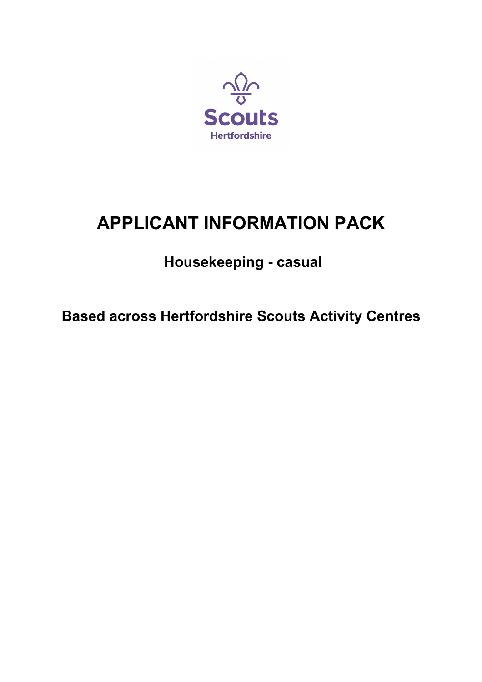

# **APPLICANT INFORMATION PACK**

# **Housekeeping - casual**

**Based across Hertfordshire Scouts Activity Centres**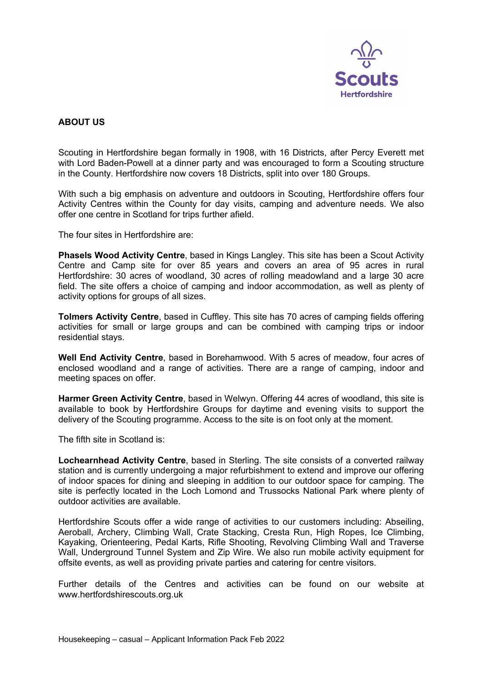

# **ABOUT US**

Scouting in Hertfordshire began formally in 1908, with 16 Districts, after Percy Everett met with Lord Baden-Powell at a dinner party and was encouraged to form a Scouting structure in the County. Hertfordshire now covers 18 Districts, split into over 180 Groups.

With such a big emphasis on adventure and outdoors in Scouting, Hertfordshire offers four Activity Centres within the County for day visits, camping and adventure needs. We also offer one centre in Scotland for trips further afield.

The four sites in Hertfordshire are:

**Phasels Wood Activity Centre**, based in Kings Langley. This site has been a Scout Activity Centre and Camp site for over 85 years and covers an area of 95 acres in rural Hertfordshire: 30 acres of woodland, 30 acres of rolling meadowland and a large 30 acre field. The site offers a choice of camping and indoor accommodation, as well as plenty of activity options for groups of all sizes.

**Tolmers Activity Centre**, based in Cuffley. This site has 70 acres of camping fields offering activities for small or large groups and can be combined with camping trips or indoor residential stavs.

**Well End Activity Centre**, based in Borehamwood. With 5 acres of meadow, four acres of enclosed woodland and a range of activities. There are a range of camping, indoor and meeting spaces on offer.

**Harmer Green Activity Centre**, based in Welwyn. Offering 44 acres of woodland, this site is available to book by Hertfordshire Groups for daytime and evening visits to support the delivery of the Scouting programme. Access to the site is on foot only at the moment.

The fifth site in Scotland is:

**Lochearnhead Activity Centre**, based in Sterling. The site consists of a converted railway station and is currently undergoing a major refurbishment to extend and improve our offering of indoor spaces for dining and sleeping in addition to our outdoor space for camping. The site is perfectly located in the Loch Lomond and Trussocks National Park where plenty of outdoor activities are available.

Hertfordshire Scouts offer a wide range of activities to our customers including: Abseiling, Aeroball, Archery, Climbing Wall, Crate Stacking, Cresta Run, High Ropes, Ice Climbing, Kayaking, Orienteering, Pedal Karts, Rifle Shooting, Revolving Climbing Wall and Traverse Wall, Underground Tunnel System and Zip Wire. We also run mobile activity equipment for offsite events, as well as providing private parties and catering for centre visitors.

Further details of the Centres and activities can be found on our website at www.hertfordshirescouts.org.uk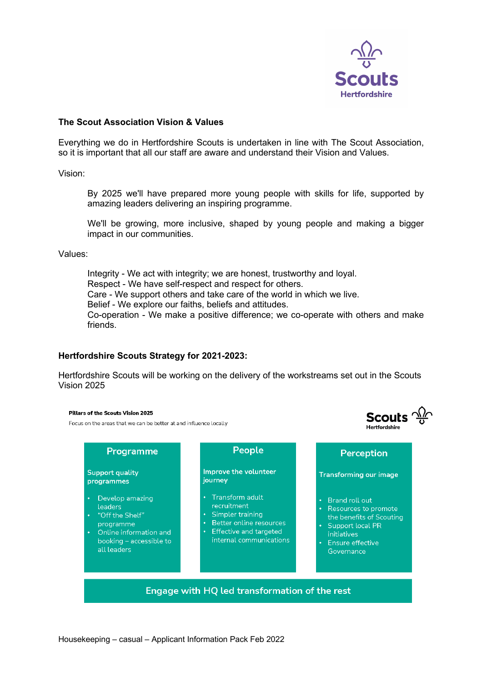

**Scouts**  $\frac{\sqrt{2}}{9}$ 

u<br>Mortfordebire

### **The Scout Association Vision & Values**

Everything we do in Hertfordshire Scouts is undertaken in line with The Scout Association, so it is important that all our staff are aware and understand their Vision and Values.

Vision:

By 2025 we'll have prepared more young people with skills for life, supported by amazing leaders delivering an inspiring programme.

We'll be growing, more inclusive, shaped by young people and making a bigger impact in our communities.

Values:

Integrity - We act with integrity; we are honest, trustworthy and loyal. Respect - We have self-respect and respect for others. Care - We support others and take care of the world in which we live. Belief - We explore our faiths, beliefs and attitudes. Co-operation - We make a positive difference; we co-operate with others and make friends.

#### **Hertfordshire Scouts Strategy for 2021-2023:**

Hertfordshire Scouts will be working on the delivery of the workstreams set out in the Scouts Vision 2025

#### Pillars of the Scouts Vision 2025

Focus on the areas that we can be better at and influence locally

| Programme                                                                                                                                                             | People                                                                                                                                         | Perception                                                                                                                                                                                         |
|-----------------------------------------------------------------------------------------------------------------------------------------------------------------------|------------------------------------------------------------------------------------------------------------------------------------------------|----------------------------------------------------------------------------------------------------------------------------------------------------------------------------------------------------|
| Support quality<br>programmes                                                                                                                                         | Improve the volunteer<br>journey                                                                                                               | <b>Transforming our image</b>                                                                                                                                                                      |
| Develop amazing<br>$\bullet$<br>leaders<br>"Off the Shelf"<br>$\bullet$<br>programme<br>Online information and<br>$\bullet$<br>booking – accessible to<br>all leaders | Transform adult<br>recruitment<br>Simpler training<br>Better online resources<br><b>Effective and targeted</b><br>٠<br>internal communications | Brand roll out<br>$\bullet$<br>Resources to promote<br>$\bullet$<br>the benefits of Scouting<br>Support local PR<br>$\bullet$<br><i>initiatives</i><br>Ensure effective<br>$\bullet$<br>Governance |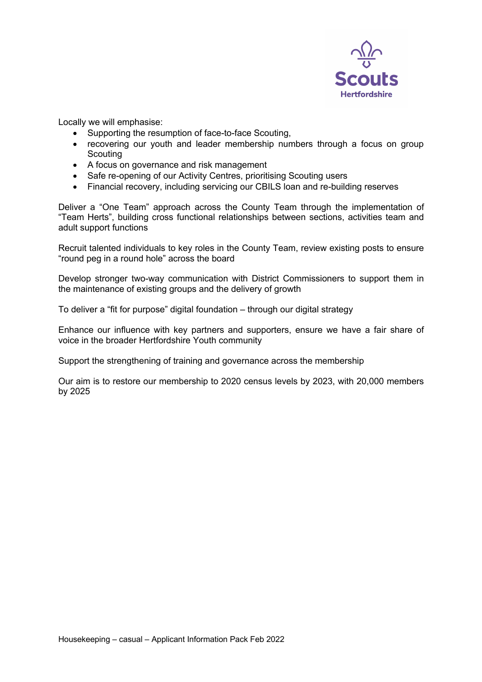

Locally we will emphasise:

- Supporting the resumption of face-to-face Scouting,
- recovering our youth and leader membership numbers through a focus on group **Scouting**
- A focus on governance and risk management
- Safe re-opening of our Activity Centres, prioritising Scouting users
- Financial recovery, including servicing our CBILS loan and re-building reserves

Deliver a "One Team" approach across the County Team through the implementation of "Team Herts", building cross functional relationships between sections, activities team and adult support functions

Recruit talented individuals to key roles in the County Team, review existing posts to ensure "round peg in a round hole" across the board

Develop stronger two-way communication with District Commissioners to support them in the maintenance of existing groups and the delivery of growth

To deliver a "fit for purpose" digital foundation – through our digital strategy

Enhance our influence with key partners and supporters, ensure we have a fair share of voice in the broader Hertfordshire Youth community

Support the strengthening of training and governance across the membership

Our aim is to restore our membership to 2020 census levels by 2023, with 20,000 members by 2025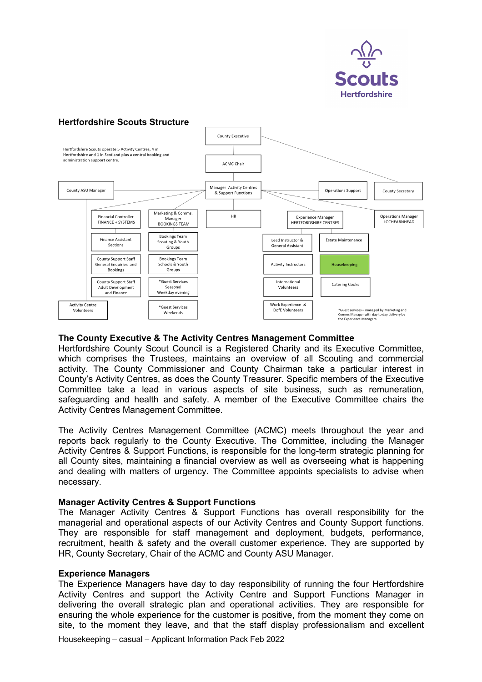

# **Hertfordshire Scouts Structure**



#### **The County Executive & The Activity Centres Management Committee**

Hertfordshire County Scout Council is a Registered Charity and its Executive Committee, which comprises the Trustees, maintains an overview of all Scouting and commercial activity. The County Commissioner and County Chairman take a particular interest in County's Activity Centres, as does the County Treasurer. Specific members of the Executive Committee take a lead in various aspects of site business, such as remuneration, safeguarding and health and safety. A member of the Executive Committee chairs the Activity Centres Management Committee.

The Activity Centres Management Committee (ACMC) meets throughout the year and reports back regularly to the County Executive. The Committee, including the Manager Activity Centres & Support Functions, is responsible for the long-term strategic planning for all County sites, maintaining a financial overview as well as overseeing what is happening and dealing with matters of urgency. The Committee appoints specialists to advise when necessary.

#### **Manager Activity Centres & Support Functions**

The Manager Activity Centres & Support Functions has overall responsibility for the managerial and operational aspects of our Activity Centres and County Support functions. They are responsible for staff management and deployment, budgets, performance, recruitment, health & safety and the overall customer experience. They are supported by HR, County Secretary, Chair of the ACMC and County ASU Manager.

#### **Experience Managers**

The Experience Managers have day to day responsibility of running the four Hertfordshire Activity Centres and support the Activity Centre and Support Functions Manager in delivering the overall strategic plan and operational activities. They are responsible for ensuring the whole experience for the customer is positive, from the moment they come on site, to the moment they leave, and that the staff display professionalism and excellent

Housekeeping – casual – Applicant Information Pack Feb 2022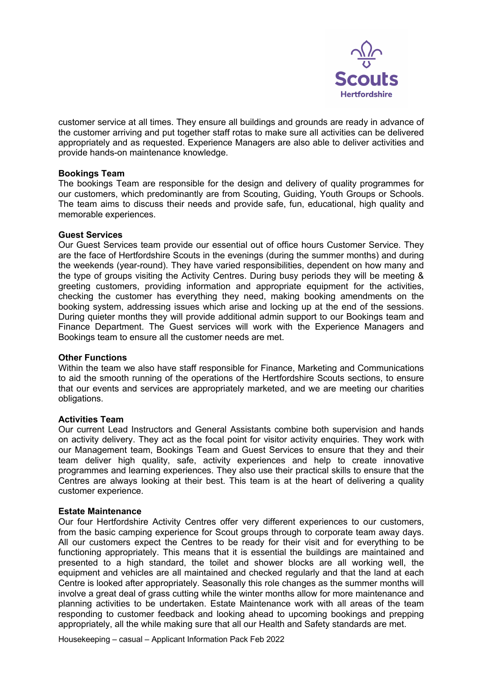

customer service at all times. They ensure all buildings and grounds are ready in advance of the customer arriving and put together staff rotas to make sure all activities can be delivered appropriately and as requested. Experience Managers are also able to deliver activities and provide hands-on maintenance knowledge.

#### **Bookings Team**

The bookings Team are responsible for the design and delivery of quality programmes for our customers, which predominantly are from Scouting, Guiding, Youth Groups or Schools. The team aims to discuss their needs and provide safe, fun, educational, high quality and memorable experiences.

#### **Guest Services**

Our Guest Services team provide our essential out of office hours Customer Service. They are the face of Hertfordshire Scouts in the evenings (during the summer months) and during the weekends (year-round). They have varied responsibilities, dependent on how many and the type of groups visiting the Activity Centres. During busy periods they will be meeting & greeting customers, providing information and appropriate equipment for the activities, checking the customer has everything they need, making booking amendments on the booking system, addressing issues which arise and locking up at the end of the sessions. During quieter months they will provide additional admin support to our Bookings team and Finance Department. The Guest services will work with the Experience Managers and Bookings team to ensure all the customer needs are met.

#### **Other Functions**

Within the team we also have staff responsible for Finance, Marketing and Communications to aid the smooth running of the operations of the Hertfordshire Scouts sections, to ensure that our events and services are appropriately marketed, and we are meeting our charities obligations.

#### **Activities Team**

Our current Lead Instructors and General Assistants combine both supervision and hands on activity delivery. They act as the focal point for visitor activity enquiries. They work with our Management team, Bookings Team and Guest Services to ensure that they and their team deliver high quality, safe, activity experiences and help to create innovative programmes and learning experiences. They also use their practical skills to ensure that the Centres are always looking at their best. This team is at the heart of delivering a quality customer experience.

#### **Estate Maintenance**

Our four Hertfordshire Activity Centres offer very different experiences to our customers, from the basic camping experience for Scout groups through to corporate team away days. All our customers expect the Centres to be ready for their visit and for everything to be functioning appropriately. This means that it is essential the buildings are maintained and presented to a high standard, the toilet and shower blocks are all working well, the equipment and vehicles are all maintained and checked regularly and that the land at each Centre is looked after appropriately. Seasonally this role changes as the summer months will involve a great deal of grass cutting while the winter months allow for more maintenance and planning activities to be undertaken. Estate Maintenance work with all areas of the team responding to customer feedback and looking ahead to upcoming bookings and prepping appropriately, all the while making sure that all our Health and Safety standards are met.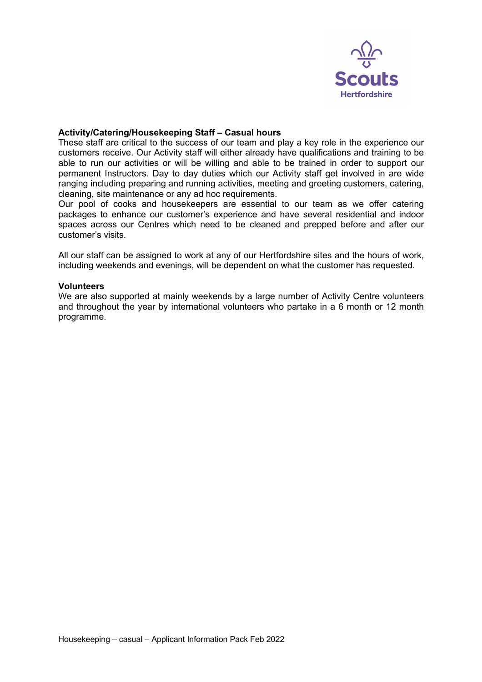

#### **Activity/Catering/Housekeeping Staff – Casual hours**

These staff are critical to the success of our team and play a key role in the experience our customers receive. Our Activity staff will either already have qualifications and training to be able to run our activities or will be willing and able to be trained in order to support our permanent Instructors. Day to day duties which our Activity staff get involved in are wide ranging including preparing and running activities, meeting and greeting customers, catering, cleaning, site maintenance or any ad hoc requirements.

Our pool of cooks and housekeepers are essential to our team as we offer catering packages to enhance our customer's experience and have several residential and indoor spaces across our Centres which need to be cleaned and prepped before and after our customer's visits.

All our staff can be assigned to work at any of our Hertfordshire sites and the hours of work, including weekends and evenings, will be dependent on what the customer has requested.

#### **Volunteers**

We are also supported at mainly weekends by a large number of Activity Centre volunteers and throughout the year by international volunteers who partake in a 6 month or 12 month programme.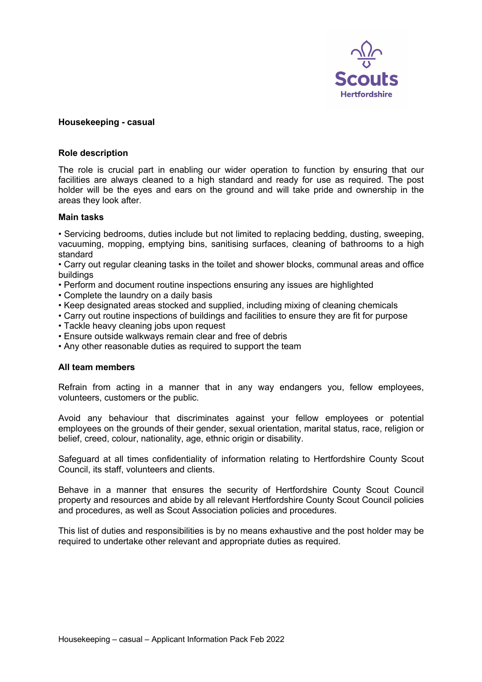

#### **Housekeeping - casual**

#### **Role description**

The role is crucial part in enabling our wider operation to function by ensuring that our facilities are always cleaned to a high standard and ready for use as required. The post holder will be the eyes and ears on the ground and will take pride and ownership in the areas they look after.

#### **Main tasks**

• Servicing bedrooms, duties include but not limited to replacing bedding, dusting, sweeping, vacuuming, mopping, emptying bins, sanitising surfaces, cleaning of bathrooms to a high standard

• Carry out regular cleaning tasks in the toilet and shower blocks, communal areas and office buildings

- Perform and document routine inspections ensuring any issues are highlighted
- Complete the laundry on a daily basis
- Keep designated areas stocked and supplied, including mixing of cleaning chemicals
- Carry out routine inspections of buildings and facilities to ensure they are fit for purpose
- Tackle heavy cleaning jobs upon request
- Ensure outside walkways remain clear and free of debris
- Any other reasonable duties as required to support the team

#### **All team members**

Refrain from acting in a manner that in any way endangers you, fellow employees, volunteers, customers or the public.

Avoid any behaviour that discriminates against your fellow employees or potential employees on the grounds of their gender, sexual orientation, marital status, race, religion or belief, creed, colour, nationality, age, ethnic origin or disability.

Safeguard at all times confidentiality of information relating to Hertfordshire County Scout Council, its staff, volunteers and clients.

Behave in a manner that ensures the security of Hertfordshire County Scout Council property and resources and abide by all relevant Hertfordshire County Scout Council policies and procedures, as well as Scout Association policies and procedures.

This list of duties and responsibilities is by no means exhaustive and the post holder may be required to undertake other relevant and appropriate duties as required.